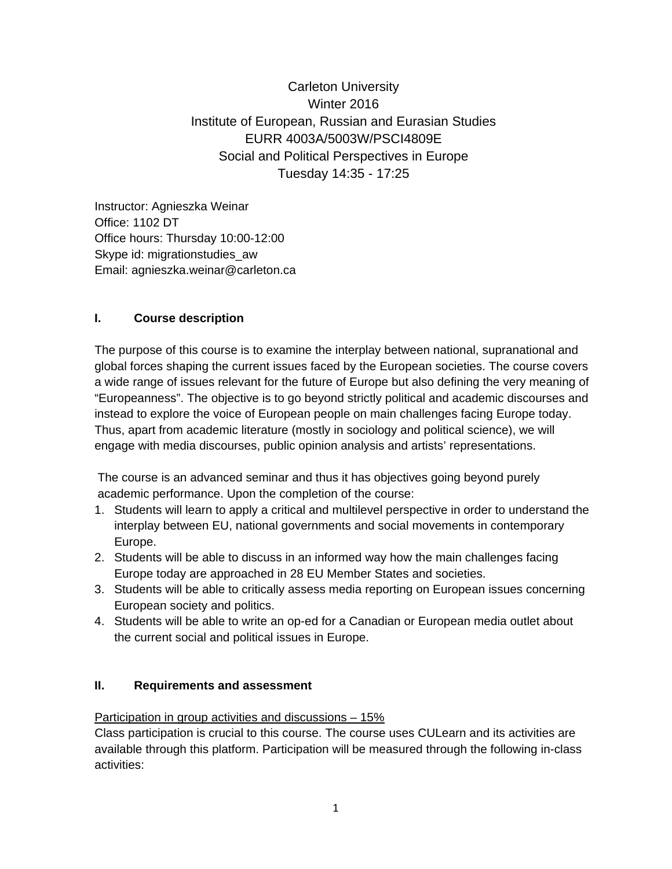Carleton University Winter 2016 Institute of European, Russian and Eurasian Studies EURR 4003A/5003W/PSCI4809E Social and Political Perspectives in Europe Tuesday 14:35 - 17:25

Instructor: Agnieszka Weinar Office: 1102 DT Office hours: Thursday 10:00-12:00 Skype id: migrationstudies aw Email: agnieszka.weinar@carleton.ca

# **I. Course description**

The purpose of this course is to examine the interplay between national, supranational and global forces shaping the current issues faced by the European societies. The course covers a wide range of issues relevant for the future of Europe but also defining the very meaning of "Europeanness". The objective is to go beyond strictly political and academic discourses and instead to explore the voice of European people on main challenges facing Europe today. Thus, apart from academic literature (mostly in sociology and political science), we will engage with media discourses, public opinion analysis and artists' representations.

The course is an advanced seminar and thus it has objectives going beyond purely academic performance. Upon the completion of the course:

- 1. Students will learn to apply a critical and multilevel perspective in order to understand the interplay between EU, national governments and social movements in contemporary Europe.
- 2. Students will be able to discuss in an informed way how the main challenges facing Europe today are approached in 28 EU Member States and societies.
- 3. Students will be able to critically assess media reporting on European issues concerning European society and politics.
- 4. Students will be able to write an op-ed for a Canadian or European media outlet about the current social and political issues in Europe.

## **II. Requirements and assessment**

## Participation in group activities and discussions – 15%

Class participation is crucial to this course. The course uses CULearn and its activities are available through this platform. Participation will be measured through the following in-class activities: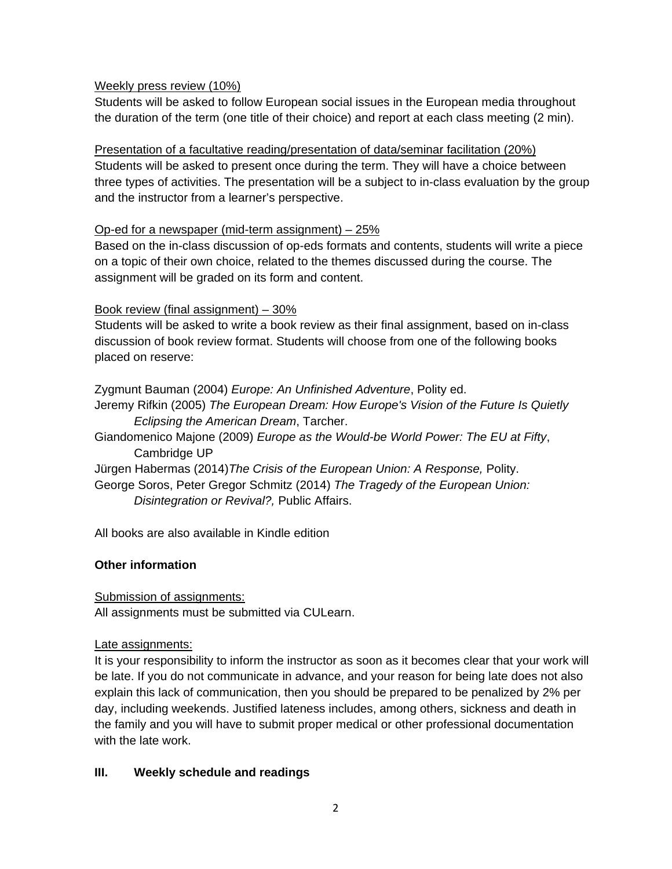#### Weekly press review (10%)

Students will be asked to follow European social issues in the European media throughout the duration of the term (one title of their choice) and report at each class meeting (2 min).

Presentation of a facultative reading/presentation of data/seminar facilitation (20%) Students will be asked to present once during the term. They will have a choice between three types of activities. The presentation will be a subject to in-class evaluation by the group and the instructor from a learner's perspective.

#### Op-ed for a newspaper (mid-term assignment) – 25%

Based on the in-class discussion of op-eds formats and contents, students will write a piece on a topic of their own choice, related to the themes discussed during the course. The assignment will be graded on its form and content.

## Book review (final assignment) – 30%

Students will be asked to write a book review as their final assignment, based on in-class discussion of book review format. Students will choose from one of the following books placed on reserve:

Zygmunt Bauman (2004) *Europe: An Unfinished Adventure*, Polity ed.

Jeremy Rifkin (2005) *The European Dream: How Europe's Vision of the Future Is Quietly Eclipsing the American Dream*, Tarcher.

Giandomenico Majone (2009) *Europe as the Would-be World Power: The EU at Fifty*, Cambridge UP

Jürgen Habermas (2014)*The Crisis of the European Union: A Response,* Polity. George Soros, Peter Gregor Schmitz (2014) *The Tragedy of the European Union: Disintegration or Revival?,* Public Affairs.

All books are also available in Kindle edition

## **Other information**

Submission of assignments:

All assignments must be submitted via CULearn.

## Late assignments:

It is your responsibility to inform the instructor as soon as it becomes clear that your work will be late. If you do not communicate in advance, and your reason for being late does not also explain this lack of communication, then you should be prepared to be penalized by 2% per day, including weekends. Justified lateness includes, among others, sickness and death in the family and you will have to submit proper medical or other professional documentation with the late work.

## **III. Weekly schedule and readings**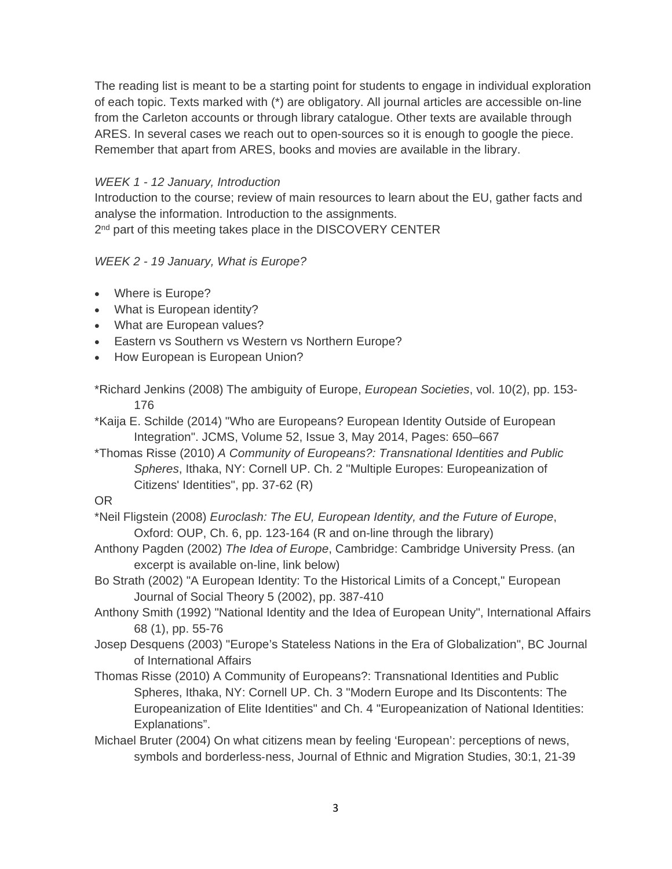The reading list is meant to be a starting point for students to engage in individual exploration of each topic. Texts marked with (\*) are obligatory. All journal articles are accessible on-line from the Carleton accounts or through library catalogue. Other texts are available through ARES. In several cases we reach out to open-sources so it is enough to google the piece. Remember that apart from ARES, books and movies are available in the library.

#### *WEEK 1 - 12 January, Introduction*

Introduction to the course; review of main resources to learn about the EU, gather facts and analyse the information. Introduction to the assignments. 2<sup>nd</sup> part of this meeting takes place in the DISCOVERY CENTER

## *WEEK 2 - 19 January, What is Europe?*

- Where is Europe?
- What is European identity?
- What are European values?
- Eastern vs Southern vs Western vs Northern Europe?
- How European is European Union?

\*Richard Jenkins (2008) The ambiguity of Europe, *European Societies*, vol. 10(2), pp. 153- 176

\*Kaija E. Schilde (2014) "Who are Europeans? European Identity Outside of European Integration". JCMS, Volume 52, Issue 3, May 2014, Pages: 650–667

\*Thomas Risse (2010) *A Community of Europeans?: Transnational Identities and Public Spheres*, Ithaka, NY: Cornell UP. Ch. 2 "Multiple Europes: Europeanization of Citizens' Identities", pp. 37-62 (R)

#### OR

- \*Neil Fligstein (2008) *Euroclash: The EU, European Identity, and the Future of Europe*, Oxford: OUP, Ch. 6, pp. 123-164 (R and on-line through the library)
- Anthony Pagden (2002) *The Idea of Europe*, Cambridge: Cambridge University Press. (an excerpt is available on-line, link below)
- Bo Strath (2002) "A European Identity: To the Historical Limits of a Concept," European Journal of Social Theory 5 (2002), pp. 387-410
- Anthony Smith (1992) "National Identity and the Idea of European Unity", International Affairs 68 (1), pp. 55-76
- Josep Desquens (2003) "Europe's Stateless Nations in the Era of Globalization", BC Journal of International Affairs
- Thomas Risse (2010) A Community of Europeans?: Transnational Identities and Public Spheres, Ithaka, NY: Cornell UP. Ch. 3 "Modern Europe and Its Discontents: The Europeanization of Elite Identities" and Ch. 4 "Europeanization of National Identities: Explanations".
- Michael Bruter (2004) On what citizens mean by feeling 'European': perceptions of news, symbols and borderless‐ness, Journal of Ethnic and Migration Studies, 30:1, 21-39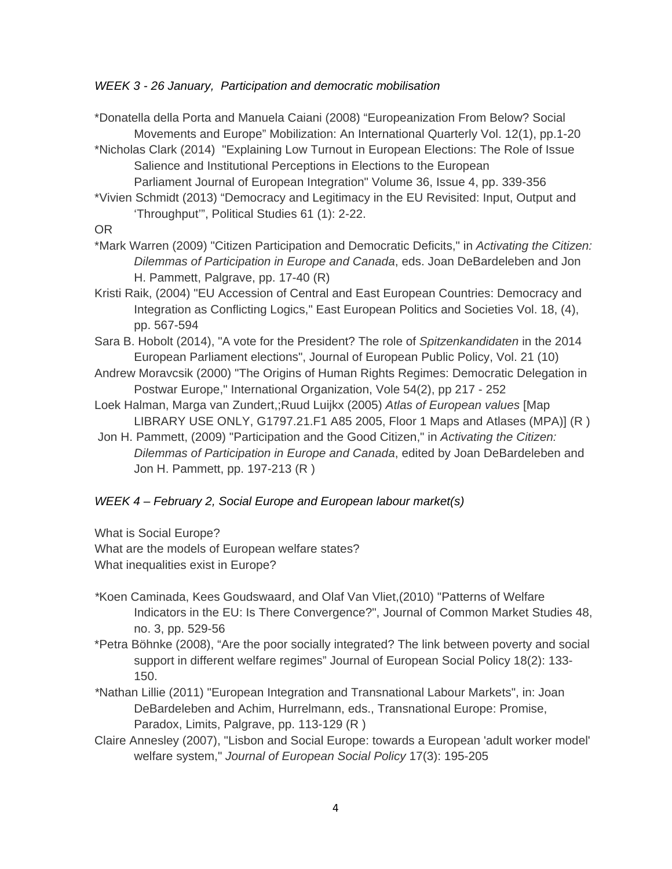#### *WEEK 3 - 26 January, Participation and democratic mobilisation*

\*Donatella della Porta and Manuela Caiani (2008) "Europeanization From Below? Social Movements and Europe" Mobilization: An International Quarterly Vol. 12(1), pp.1-20 \*Nicholas Clark (2014) "Explaining Low Turnout in European Elections: The Role of Issue

Salience and Institutional Perceptions in Elections to the European Parliament Journal of European Integration" Volume 36, Issue 4, pp. 339-356

\*Vivien Schmidt (2013) "Democracy and Legitimacy in the EU Revisited: Input, Output and 'Throughput'", Political Studies 61 (1): 2-22.

OR

- \*Mark Warren (2009) "Citizen Participation and Democratic Deficits," in *Activating the Citizen: Dilemmas of Participation in Europe and Canada*, eds. Joan DeBardeleben and Jon H. Pammett, Palgrave, pp. 17-40 (R)
- Kristi Raik, (2004) "EU Accession of Central and East European Countries: Democracy and Integration as Conflicting Logics," East European Politics and Societies Vol. 18, (4), pp. 567-594
- Sara B. Hobolt (2014), "A vote for the President? The role of *Spitzenkandidaten* in the 2014 European Parliament elections", Journal of European Public Policy, Vol. 21 (10)
- Andrew Moravcsik (2000) "The Origins of Human Rights Regimes: Democratic Delegation in Postwar Europe," International Organization, Vole 54(2), pp 217 - 252
- Loek Halman, Marga van Zundert,;Ruud Luijkx (2005) *Atlas of European values* [Map LIBRARY USE ONLY, G1797.21.F1 A85 2005, Floor 1 Maps and Atlases (MPA)] (R )
- Jon H. Pammett, (2009) "Participation and the Good Citizen," in *Activating the Citizen: Dilemmas of Participation in Europe and Canada*, edited by Joan DeBardeleben and Jon H. Pammett, pp. 197-213 (R )

#### *WEEK 4 – February 2, Social Europe and European labour market(s)*

What is Social Europe?

What are the models of European welfare states?

What inequalities exist in Europe?

- *\**Koen Caminada, Kees Goudswaard, and Olaf Van Vliet,(2010) "Patterns of Welfare Indicators in the EU: Is There Convergence?", Journal of Common Market Studies 48, no. 3, pp. 529-56
- \*Petra Böhnke (2008), "Are the poor socially integrated? The link between poverty and social support in different welfare regimes" Journal of European Social Policy 18(2): 133- 150.
- *\**Nathan Lillie (2011) "European Integration and Transnational Labour Markets", in: Joan DeBardeleben and Achim, Hurrelmann, eds., Transnational Europe: Promise, Paradox, Limits, Palgrave, pp. 113-129 (R )
- Claire Annesley (2007), "Lisbon and Social Europe: towards a European 'adult worker model' welfare system," *Journal of European Social Policy* 17(3): 195-205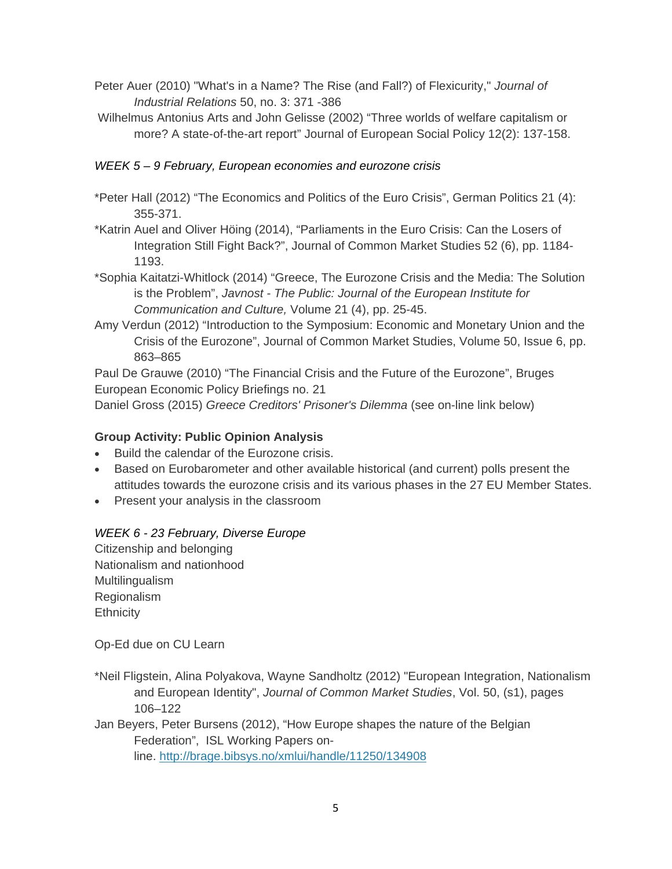- Peter Auer (2010) "What's in a Name? The Rise (and Fall?) of Flexicurity," *Journal of Industrial Relations* 50, no. 3: 371 -386
- Wilhelmus Antonius Arts and John Gelisse (2002) "Three worlds of welfare capitalism or more? A state-of-the-art report" Journal of European Social Policy 12(2): 137-158.

## *WEEK 5 – 9 February, European economies and eurozone crisis*

- \*Peter Hall (2012) "The Economics and Politics of the Euro Crisis", German Politics 21 (4): 355-371.
- \*Katrin Auel and Oliver Höing (2014), "Parliaments in the Euro Crisis: Can the Losers of Integration Still Fight Back?", Journal of Common Market Studies 52 (6), pp. 1184- 1193.
- \*Sophia Kaitatzi-Whitlock (2014) "Greece, The Eurozone Crisis and the Media: The Solution is the Problem", *Javnost - The Public: Journal of the European Institute for Communication and Culture,* Volume 21 (4), pp. 25-45.
- Amy Verdun (2012) "Introduction to the Symposium: Economic and Monetary Union and the Crisis of the Eurozone", Journal of Common Market Studies, Volume 50, Issue 6, pp. 863–865

Paul De Grauwe (2010) "The Financial Crisis and the Future of the Eurozone", Bruges European Economic Policy Briefings no. 21

Daniel Gross (2015) *Greece Creditors' Prisoner's Dilemma* (see on-line link below)

## **Group Activity: Public Opinion Analysis**

- Build the calendar of the Eurozone crisis.
- Based on Eurobarometer and other available historical (and current) polls present the attitudes towards the eurozone crisis and its various phases in the 27 EU Member States.
- Present your analysis in the classroom

## *WEEK 6 - 23 February, Diverse Europe*

Citizenship and belonging Nationalism and nationhood Multilingualism Regionalism **Ethnicity** 

Op-Ed due on CU Learn

\*Neil Fligstein, Alina Polyakova, Wayne Sandholtz (2012) "European Integration, Nationalism and European Identity", *Journal of Common Market Studies*, Vol. 50, (s1), pages 106–122

Jan Beyers, Peter Bursens (2012), "How Europe shapes the nature of the Belgian Federation", ISL Working Papers online. http://brage.bibsys.no/xmlui/handle/11250/134908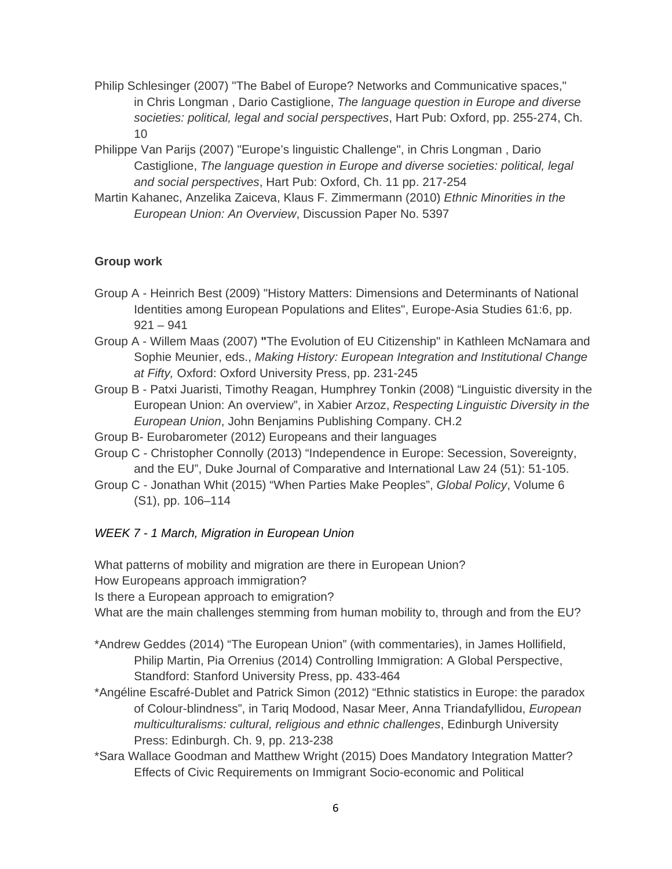- Philip Schlesinger (2007) "The Babel of Europe? Networks and Communicative spaces," in Chris Longman , Dario Castiglione, *The language question in Europe and diverse societies: political, legal and social perspectives*, Hart Pub: Oxford, pp. 255-274, Ch. 10
- Philippe Van Parijs (2007) "Europe's linguistic Challenge", in Chris Longman , Dario Castiglione, *The language question in Europe and diverse societies: political, legal and social perspectives*, Hart Pub: Oxford, Ch. 11 pp. 217-254
- Martin Kahanec, Anzelika Zaiceva, Klaus F. Zimmermann (2010) *Ethnic Minorities in the European Union: An Overview*, Discussion Paper No. 5397

## **Group work**

- Group A Heinrich Best (2009) "History Matters: Dimensions and Determinants of National Identities among European Populations and Elites", Europe-Asia Studies 61:6, pp.  $921 - 941$
- Group A Willem Maas (2007) **"**The Evolution of EU Citizenship" in Kathleen McNamara and Sophie Meunier, eds., *Making History: European Integration and Institutional Change at Fifty,* Oxford: Oxford University Press, pp. 231-245
- Group B Patxi Juaristi, Timothy Reagan, Humphrey Tonkin (2008) "Linguistic diversity in the European Union: An overview", in Xabier Arzoz, *Respecting Linguistic Diversity in the European Union*, John Benjamins Publishing Company. CH.2
- Group B- Eurobarometer (2012) Europeans and their languages
- Group C Christopher Connolly (2013) "Independence in Europe: Secession, Sovereignty, and the EU", Duke Journal of Comparative and International Law 24 (51): 51-105.
- Group C Jonathan Whit (2015) "When Parties Make Peoples", *Global Policy*, Volume 6 (S1), pp. 106–114

## *WEEK 7 - 1 March, Migration in European Union*

What patterns of mobility and migration are there in European Union?

How Europeans approach immigration?

Is there a European approach to emigration?

What are the main challenges stemming from human mobility to, through and from the EU?

- \*Andrew Geddes (2014) "The European Union" (with commentaries), in James Hollifield, Philip Martin, Pia Orrenius (2014) Controlling Immigration: A Global Perspective, Standford: Stanford University Press, pp. 433-464
- \*Angéline Escafré-Dublet and Patrick Simon (2012) "Ethnic statistics in Europe: the paradox of Colour-blindness", in Tariq Modood, Nasar Meer, Anna Triandafyllidou, *European multiculturalisms: cultural, religious and ethnic challenges*, Edinburgh University Press: Edinburgh. Ch. 9, pp. 213-238
- \*Sara Wallace Goodman and Matthew Wright (2015) Does Mandatory Integration Matter? Effects of Civic Requirements on Immigrant Socio-economic and Political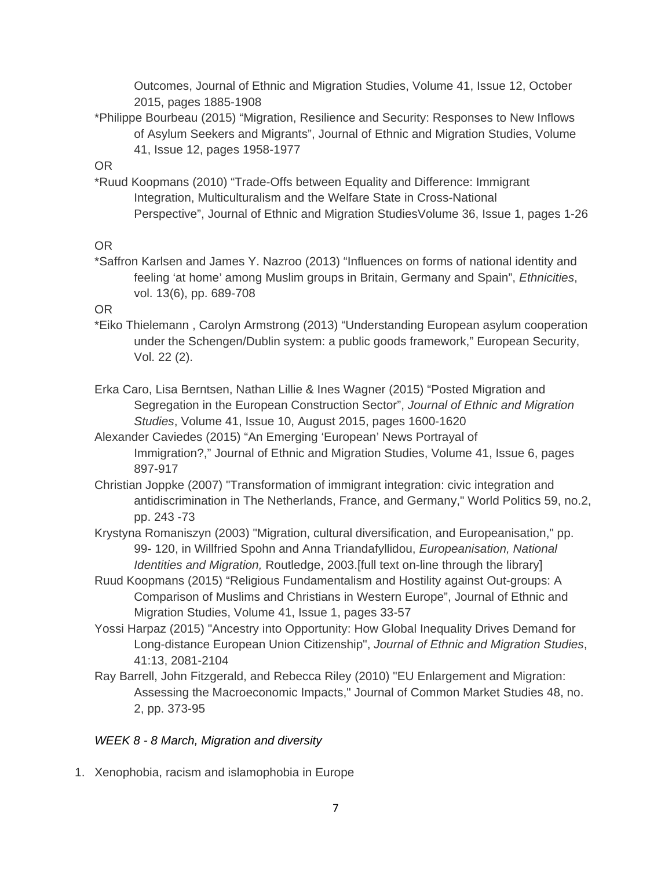Outcomes, Journal of Ethnic and Migration Studies, Volume 41, Issue 12, October 2015, pages 1885-1908

\*Philippe Bourbeau (2015) "Migration, Resilience and Security: Responses to New Inflows of Asylum Seekers and Migrants", Journal of Ethnic and Migration Studies, Volume 41, Issue 12, pages 1958-1977

#### OR

\*Ruud Koopmans (2010) "Trade-Offs between Equality and Difference: Immigrant Integration, Multiculturalism and the Welfare State in Cross-National Perspective", Journal of Ethnic and Migration StudiesVolume 36, Issue 1, pages 1-26

#### OR

\*Saffron Karlsen and James Y. Nazroo (2013) "Influences on forms of national identity and feeling 'at home' among Muslim groups in Britain, Germany and Spain", *Ethnicities*, vol. 13(6), pp. 689-708

# OR

- \*Eiko Thielemann , Carolyn Armstrong (2013) "Understanding European asylum cooperation under the Schengen/Dublin system: a public goods framework," European Security, Vol. 22 (2).
- Erka Caro, Lisa Berntsen, Nathan Lillie & Ines Wagner (2015) "Posted Migration and Segregation in the European Construction Sector", *Journal of Ethnic and Migration Studies*, Volume 41, Issue 10, August 2015, pages 1600-1620
- Alexander Caviedes (2015) "An Emerging 'European' News Portrayal of Immigration?," Journal of Ethnic and Migration Studies, Volume 41, Issue 6, pages 897-917
- Christian Joppke (2007) "Transformation of immigrant integration: civic integration and antidiscrimination in The Netherlands, France, and Germany," World Politics 59, no.2, pp. 243 -73
- Krystyna Romaniszyn (2003) "Migration, cultural diversification, and Europeanisation," pp. 99- 120, in Willfried Spohn and Anna Triandafyllidou, *Europeanisation, National Identities and Migration,* Routledge, 2003.[full text on-line through the library]
- Ruud Koopmans (2015) "Religious Fundamentalism and Hostility against Out-groups: A Comparison of Muslims and Christians in Western Europe", Journal of Ethnic and Migration Studies, Volume 41, Issue 1, pages 33-57
- Yossi Harpaz (2015) "Ancestry into Opportunity: How Global Inequality Drives Demand for Long-distance European Union Citizenship", *Journal of Ethnic and Migration Studies*, 41:13, 2081-2104
- Ray Barrell, John Fitzgerald, and Rebecca Riley (2010) "EU Enlargement and Migration: Assessing the Macroeconomic Impacts," Journal of Common Market Studies 48, no. 2, pp. 373-95

## *WEEK 8 - 8 March, Migration and diversity*

1. Xenophobia, racism and islamophobia in Europe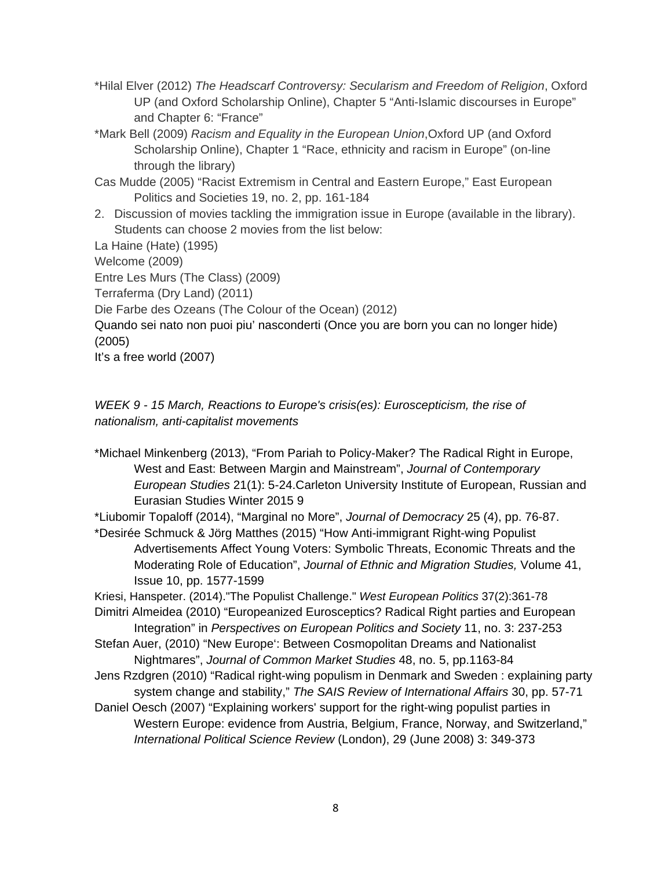- \*Hilal Elver (2012) *The Headscarf Controversy: Secularism and Freedom of Religion*, Oxford UP (and Oxford Scholarship Online), Chapter 5 "Anti-Islamic discourses in Europe" and Chapter 6: "France"
- \*Mark Bell (2009) *Racism and Equality in the European Union*,Oxford UP (and Oxford Scholarship Online), Chapter 1 "Race, ethnicity and racism in Europe" (on-line through the library)

Cas Mudde (2005) "Racist Extremism in Central and Eastern Europe," East European Politics and Societies 19, no. 2, pp. 161-184

2. Discussion of movies tackling the immigration issue in Europe (available in the library). Students can choose 2 movies from the list below:

La Haine (Hate) (1995)

Welcome (2009)

Entre Les Murs (The Class) (2009)

Terraferma (Dry Land) (2011)

Die Farbe des Ozeans (The Colour of the Ocean) (2012)

Quando sei nato non puoi piu' nasconderti (Once you are born you can no longer hide) (2005)

It's a free world (2007)

*WEEK 9 - 15 March, Reactions to Europe's crisis(es): Euroscepticism, the rise of nationalism, anti-capitalist movements* 

\*Michael Minkenberg (2013), "From Pariah to Policy-Maker? The Radical Right in Europe, West and East: Between Margin and Mainstream", *Journal of Contemporary European Studies* 21(1): 5-24.Carleton University Institute of European, Russian and Eurasian Studies Winter 2015 9

\*Liubomir Topaloff (2014), "Marginal no More", *Journal of Democracy* 25 (4), pp. 76-87.

\*Desirée Schmuck & Jörg Matthes (2015) "How Anti-immigrant Right-wing Populist Advertisements Affect Young Voters: Symbolic Threats, Economic Threats and the Moderating Role of Education", *Journal of Ethnic and Migration Studies,* Volume 41, Issue 10, pp. 1577-1599

Kriesi, Hanspeter. (2014)."The Populist Challenge." *West European Politics* 37(2):361-78

Dimitri Almeidea (2010) "Europeanized Eurosceptics? Radical Right parties and European Integration" in *Perspectives on European Politics and Society* 11, no. 3: 237-253

Stefan Auer, (2010) "New Europe': Between Cosmopolitan Dreams and Nationalist Nightmares", *Journal of Common Market Studies* 48, no. 5, pp.1163-84

Jens Rzdgren (2010) "Radical right-wing populism in Denmark and Sweden : explaining party system change and stability," *The SAIS Review of International Affairs* 30, pp. 57-71

Daniel Oesch (2007) "Explaining workers' support for the right-wing populist parties in Western Europe: evidence from Austria, Belgium, France, Norway, and Switzerland," *International Political Science Review* (London), 29 (June 2008) 3: 349-373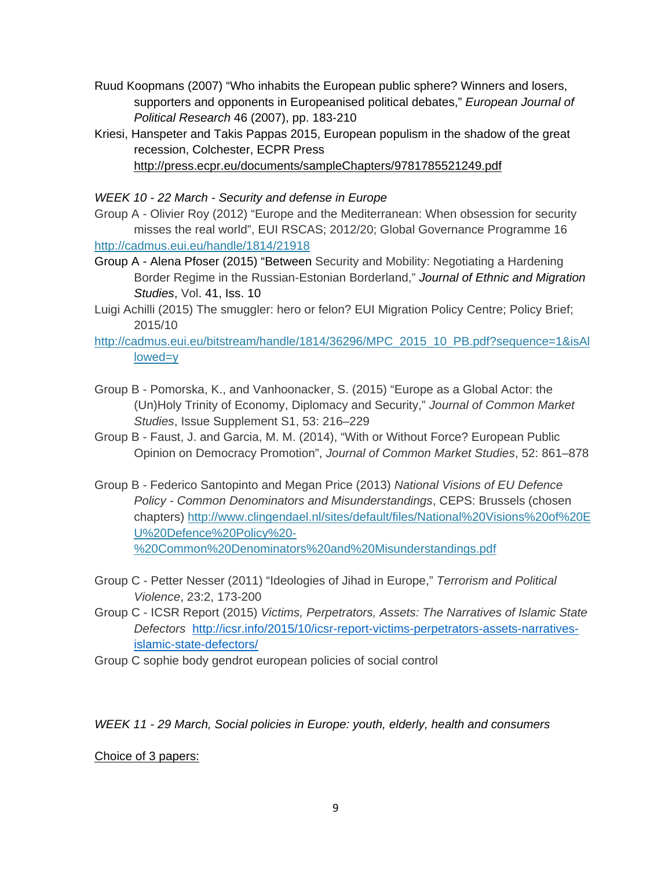- Ruud Koopmans (2007) "Who inhabits the European public sphere? Winners and losers, supporters and opponents in Europeanised political debates," *European Journal of Political Research* 46 (2007), pp. 183-210
- Kriesi, Hanspeter and Takis Pappas 2015, European populism in the shadow of the great recession, Colchester, ECPR Press http://press.ecpr.eu/documents/sampleChapters/9781785521249.pdf

#### *WEEK 10 - 22 March - Security and defense in Europe*

- Group A Olivier Roy (2012) "Europe and the Mediterranean: When obsession for security misses the real world", EUI RSCAS; 2012/20; Global Governance Programme 16 http://cadmus.eui.eu/handle/1814/21918
- Group A Alena Pfoser (2015) "Between Security and Mobility: Negotiating a Hardening Border Regime in the Russian-Estonian Borderland," *Journal of Ethnic and Migration Studies*, Vol. 41, Iss. 10
- Luigi Achilli (2015) The smuggler: hero or felon? EUI Migration Policy Centre; Policy Brief; 2015/10
- http://cadmus.eui.eu/bitstream/handle/1814/36296/MPC\_2015\_10\_PB.pdf?sequence=1&isAl lowed=y
- Group B Pomorska, K., and Vanhoonacker, S. (2015) "Europe as a Global Actor: the (Un)Holy Trinity of Economy, Diplomacy and Security," *Journal of Common Market Studies*, Issue Supplement S1, 53: 216–229
- Group B Faust, J. and Garcia, M. M. (2014), "With or Without Force? European Public Opinion on Democracy Promotion", *Journal of Common Market Studies*, 52: 861–878
- Group B Federico Santopinto and Megan Price (2013) *National Visions of EU Defence Policy - Common Denominators and Misunderstandings*, CEPS: Brussels (chosen chapters) http://www.clingendael.nl/sites/default/files/National%20Visions%20of%20E U%20Defence%20Policy%20- %20Common%20Denominators%20and%20Misunderstandings.pdf
- Group C Petter Nesser (2011) "Ideologies of Jihad in Europe," *Terrorism and Political Violence*, 23:2, 173-200
- Group C ICSR Report (2015) *Victims, Perpetrators, Assets: The Narratives of Islamic State Defectors* http://icsr.info/2015/10/icsr-report-victims-perpetrators-assets-narrativesislamic-state-defectors/
- Group C sophie body gendrot european policies of social control

*WEEK 11 - 29 March, Social policies in Europe: youth, elderly, health and consumers* 

Choice of 3 papers: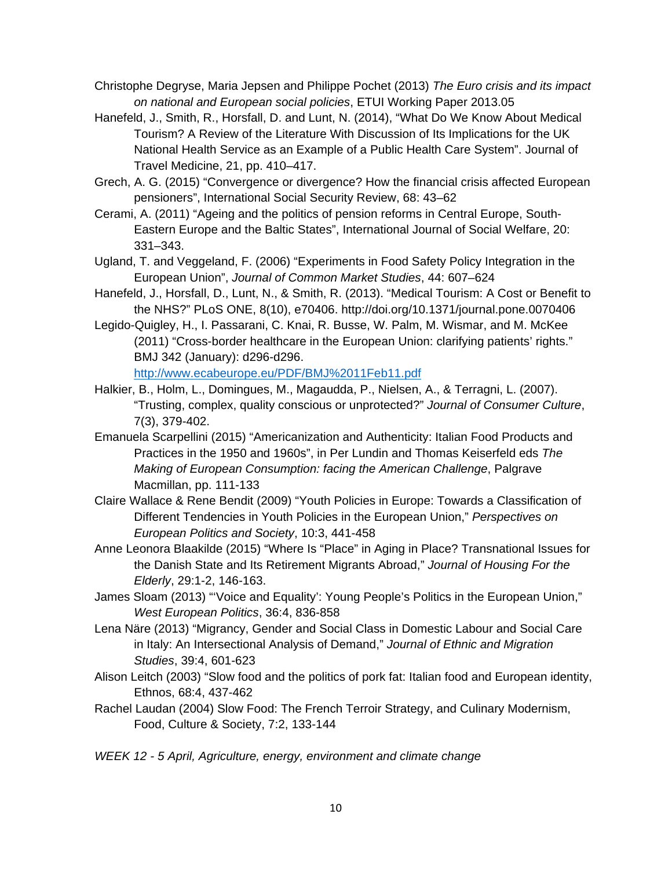Christophe Degryse, Maria Jepsen and Philippe Pochet (2013) *The Euro crisis and its impact on national and European social policies*, ETUI Working Paper 2013.05

- Hanefeld, J., Smith, R., Horsfall, D. and Lunt, N. (2014), "What Do We Know About Medical Tourism? A Review of the Literature With Discussion of Its Implications for the UK National Health Service as an Example of a Public Health Care System". Journal of Travel Medicine, 21, pp. 410–417.
- Grech, A. G. (2015) "Convergence or divergence? How the financial crisis affected European pensioners", International Social Security Review, 68: 43–62
- Cerami, A. (2011) "Ageing and the politics of pension reforms in Central Europe, South-Eastern Europe and the Baltic States", International Journal of Social Welfare, 20: 331–343.
- Ugland, T. and Veggeland, F. (2006) "Experiments in Food Safety Policy Integration in the European Union", *Journal of Common Market Studies*, 44: 607–624
- Hanefeld, J., Horsfall, D., Lunt, N., & Smith, R. (2013). "Medical Tourism: A Cost or Benefit to the NHS?" PLoS ONE, 8(10), e70406. http://doi.org/10.1371/journal.pone.0070406
- Legido-Quigley, H., I. Passarani, C. Knai, R. Busse, W. Palm, M. Wismar, and M. McKee (2011) "Cross-border healthcare in the European Union: clarifying patients' rights." BMJ 342 (January): d296-d296.

http://www.ecabeurope.eu/PDF/BMJ%2011Feb11.pdf

- Halkier, B., Holm, L., Domingues, M., Magaudda, P., Nielsen, A., & Terragni, L. (2007). "Trusting, complex, quality conscious or unprotected?" *Journal of Consumer Culture*, 7(3), 379-402.
- Emanuela Scarpellini (2015) "Americanization and Authenticity: Italian Food Products and Practices in the 1950 and 1960s", in Per Lundin and Thomas Keiserfeld eds *The Making of European Consumption: facing the American Challenge*, Palgrave Macmillan, pp. 111-133
- Claire Wallace & Rene Bendit (2009) "Youth Policies in Europe: Towards a Classification of Different Tendencies in Youth Policies in the European Union," *Perspectives on European Politics and Society*, 10:3, 441-458
- Anne Leonora Blaakilde (2015) "Where Is "Place" in Aging in Place? Transnational Issues for the Danish State and Its Retirement Migrants Abroad," *Journal of Housing For the Elderly*, 29:1-2, 146-163.
- James Sloam (2013) "'Voice and Equality': Young People's Politics in the European Union," *West European Politics*, 36:4, 836-858
- Lena Näre (2013) "Migrancy, Gender and Social Class in Domestic Labour and Social Care in Italy: An Intersectional Analysis of Demand," *Journal of Ethnic and Migration Studies*, 39:4, 601-623
- Alison Leitch (2003) "Slow food and the politics of pork fat: Italian food and European identity, Ethnos, 68:4, 437-462
- Rachel Laudan (2004) Slow Food: The French Terroir Strategy, and Culinary Modernism, Food, Culture & Society, 7:2, 133-144

*WEEK 12 - 5 April, Agriculture, energy, environment and climate change*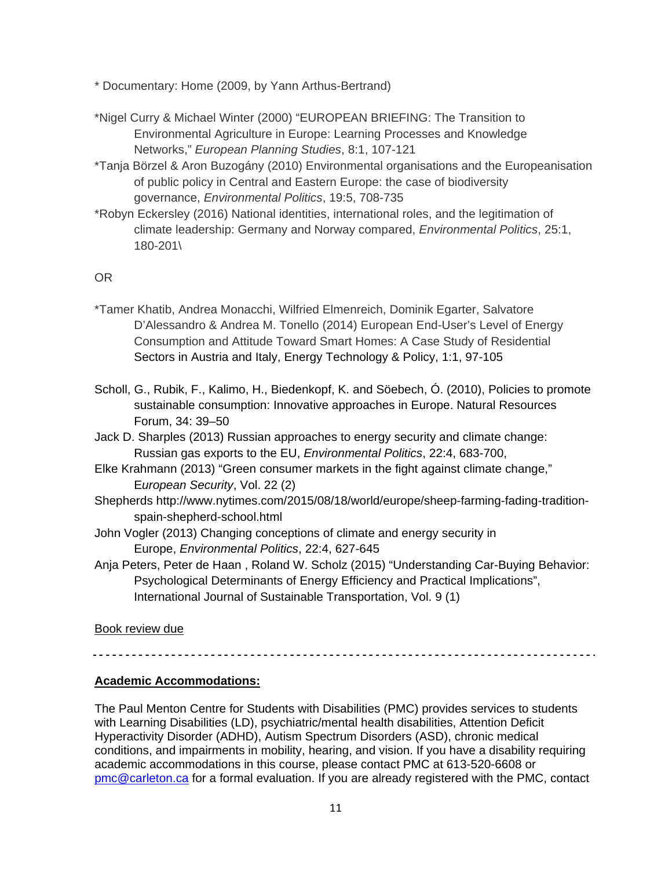\* Documentary: Home (2009, by Yann Arthus-Bertrand)

- \*Nigel Curry & Michael Winter (2000) "EUROPEAN BRIEFING: The Transition to Environmental Agriculture in Europe: Learning Processes and Knowledge Networks," *European Planning Studies*, 8:1, 107-121
- \*Tanja Börzel & Aron Buzogány (2010) Environmental organisations and the Europeanisation of public policy in Central and Eastern Europe: the case of biodiversity governance, *Environmental Politics*, 19:5, 708-735
- \*Robyn Eckersley (2016) National identities, international roles, and the legitimation of climate leadership: Germany and Norway compared, *Environmental Politics*, 25:1, 180-201\

#### OR

- \*Tamer Khatib, Andrea Monacchi, Wilfried Elmenreich, Dominik Egarter, Salvatore D'Alessandro & Andrea M. Tonello (2014) European End-User's Level of Energy Consumption and Attitude Toward Smart Homes: A Case Study of Residential Sectors in Austria and Italy, Energy Technology & Policy, 1:1, 97-105
- Scholl, G., Rubik, F., Kalimo, H., Biedenkopf, K. and Söebech, Ó. (2010), Policies to promote sustainable consumption: Innovative approaches in Europe. Natural Resources Forum, 34: 39–50
- Jack D. Sharples (2013) Russian approaches to energy security and climate change: Russian gas exports to the EU, *Environmental Politics*, 22:4, 683-700,
- Elke Krahmann (2013) "Green consumer markets in the fight against climate change," E*uropean Security*, Vol. 22 (2)
- Shepherds http://www.nytimes.com/2015/08/18/world/europe/sheep-farming-fading-traditionspain-shepherd-school.html
- John Vogler (2013) Changing conceptions of climate and energy security in Europe, *Environmental Politics*, 22:4, 627-645
- Anja Peters, Peter de Haan , Roland W. Scholz (2015) "Understanding Car-Buying Behavior: Psychological Determinants of Energy Efficiency and Practical Implications", International Journal of Sustainable Transportation, Vol. 9 (1)

#### Book review due

#### **Academic Accommodations:**

The Paul Menton Centre for Students with Disabilities (PMC) provides services to students with Learning Disabilities (LD), psychiatric/mental health disabilities, Attention Deficit Hyperactivity Disorder (ADHD), Autism Spectrum Disorders (ASD), chronic medical conditions, and impairments in mobility, hearing, and vision. If you have a disability requiring academic accommodations in this course, please contact PMC at 613-520-6608 or pmc@carleton.ca for a formal evaluation. If you are already registered with the PMC, contact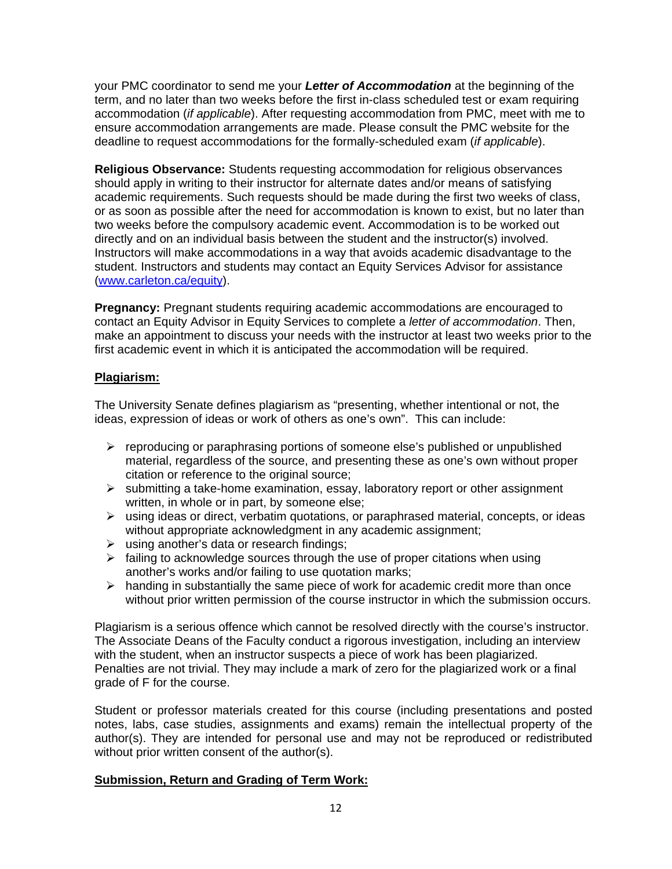your PMC coordinator to send me your *Letter of Accommodation* at the beginning of the term, and no later than two weeks before the first in-class scheduled test or exam requiring accommodation (*if applicable*). After requesting accommodation from PMC, meet with me to ensure accommodation arrangements are made. Please consult the PMC website for the deadline to request accommodations for the formally-scheduled exam (*if applicable*).

**Religious Observance:** Students requesting accommodation for religious observances should apply in writing to their instructor for alternate dates and/or means of satisfying academic requirements. Such requests should be made during the first two weeks of class, or as soon as possible after the need for accommodation is known to exist, but no later than two weeks before the compulsory academic event. Accommodation is to be worked out directly and on an individual basis between the student and the instructor(s) involved. Instructors will make accommodations in a way that avoids academic disadvantage to the student. Instructors and students may contact an Equity Services Advisor for assistance (www.carleton.ca/equity).

**Pregnancy:** Pregnant students requiring academic accommodations are encouraged to contact an Equity Advisor in Equity Services to complete a *letter of accommodation*. Then, make an appointment to discuss your needs with the instructor at least two weeks prior to the first academic event in which it is anticipated the accommodation will be required.

#### **Plagiarism:**

The University Senate defines plagiarism as "presenting, whether intentional or not, the ideas, expression of ideas or work of others as one's own". This can include:

- $\triangleright$  reproducing or paraphrasing portions of someone else's published or unpublished material, regardless of the source, and presenting these as one's own without proper citation or reference to the original source;
- $\triangleright$  submitting a take-home examination, essay, laboratory report or other assignment written, in whole or in part, by someone else;
- $\triangleright$  using ideas or direct, verbatim quotations, or paraphrased material, concepts, or ideas without appropriate acknowledgment in any academic assignment;
- $\triangleright$  using another's data or research findings;
- $\triangleright$  failing to acknowledge sources through the use of proper citations when using another's works and/or failing to use quotation marks;
- $\triangleright$  handing in substantially the same piece of work for academic credit more than once without prior written permission of the course instructor in which the submission occurs.

Plagiarism is a serious offence which cannot be resolved directly with the course's instructor. The Associate Deans of the Faculty conduct a rigorous investigation, including an interview with the student, when an instructor suspects a piece of work has been plagiarized. Penalties are not trivial. They may include a mark of zero for the plagiarized work or a final grade of F for the course.

Student or professor materials created for this course (including presentations and posted notes, labs, case studies, assignments and exams) remain the intellectual property of the author(s). They are intended for personal use and may not be reproduced or redistributed without prior written consent of the author(s).

#### **Submission, Return and Grading of Term Work:**